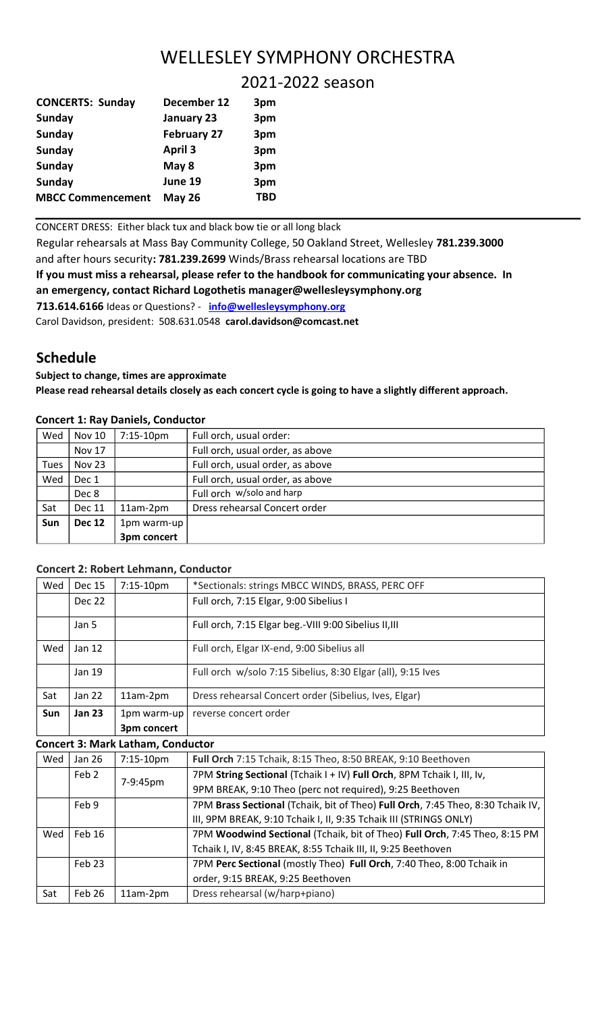# WELLESLEY SYMPHONY ORCHESTRA

2021-2022 season

| <b>CONCERTS: Sunday</b>  | December 12        | 3pm |
|--------------------------|--------------------|-----|
| <b>Sunday</b>            | January 23         | 3pm |
| <b>Sunday</b>            | <b>February 27</b> | 3pm |
| <b>Sunday</b>            | <b>April 3</b>     | 3pm |
| <b>Sunday</b>            | May 8              | 3pm |
| Sunday                   | June 19            | 3pm |
| <b>MBCC Commencement</b> | <b>May 26</b>      | TBD |

CONCERT DRESS: Either black tux and black bow tie or all long black

Regular rehearsals at Mass Bay Community College, 50 Oakland Street, Wellesley **781.239.3000** and after hours security**: 781.239.2699** Winds/Brass rehearsal locations are TBD **If you must miss a rehearsal, please refer to the handbook for communicating your absence. In an emergency, contact Richard Logothetis manager@wellesleysymphony.org 713.614.6166** Ideas or Questions? - **info@wellesleysymphony.org** Carol Davidson, president: 508.631.0548 **carol.davidson@comcast.net**

# **Schedule**

## **Subject to change, times are approximate**

**Please read rehearsal details closely as each concert cycle is going to have a slightly different approach.** 

|  |  |  |  | <b>Concert 1: Ray Daniels, Conductor</b> |
|--|--|--|--|------------------------------------------|
|--|--|--|--|------------------------------------------|

| Wed         | <b>Nov 10</b> | 7:15-10pm   | Full orch, usual order:          |
|-------------|---------------|-------------|----------------------------------|
|             | <b>Nov 17</b> |             | Full orch, usual order, as above |
| <b>Tues</b> | Nov 23        |             | Full orch, usual order, as above |
| Wed         | Dec 1         |             | Full orch, usual order, as above |
|             | Dec 8         |             | Full orch w/solo and harp        |
| Sat         | <b>Dec 11</b> | 11am-2pm    | Dress rehearsal Concert order    |
| Sun         | <b>Dec 12</b> | 1pm warm-up |                                  |
|             |               | 3pm concert |                                  |

### **Concert 2: Robert Lehmann, Conductor**

|     |               | 1pm warm-up<br>3pm concert |                                                             |
|-----|---------------|----------------------------|-------------------------------------------------------------|
| Sun | <b>Jan 23</b> |                            | reverse concert order                                       |
| Sat | Jan 22        | 11am-2pm                   | Dress rehearsal Concert order (Sibelius, Ives, Elgar)       |
|     | Jan 19        |                            | Full orch w/solo 7:15 Sibelius, 8:30 Elgar (all), 9:15 Ives |
| Wed | Jan 12        |                            | Full orch, Elgar IX-end, 9:00 Sibelius all                  |
|     | Jan 5         |                            | Full orch, 7:15 Elgar beg.-VIII 9:00 Sibelius II, III       |
|     | Dec 22        |                            | Full orch, 7:15 Elgar, 9:00 Sibelius I                      |
| Wed | Dec 15        | $7:15-10$ pm               | *Sectionals: strings MBCC WINDS, BRASS, PERC OFF            |

### **Concert 3: Mark Latham, Conductor**

| Wed | Jan 26 | 7:15-10pm | Full Orch 7:15 Tchaik, 8:15 Theo, 8:50 BREAK, 9:10 Beethoven                    |
|-----|--------|-----------|---------------------------------------------------------------------------------|
|     | Feb 2  | 7-9:45pm  | 7PM String Sectional (Tchaik I + IV) Full Orch, 8PM Tchaik I, III, Iv,          |
|     |        |           | 9PM BREAK, 9:10 Theo (perc not required), 9:25 Beethoven                        |
|     | Feb 9  |           | 7PM Brass Sectional (Tchaik, bit of Theo) Full Orch, 7:45 Theo, 8:30 Tchaik IV, |
|     |        |           | III, 9PM BREAK, 9:10 Tchaik I, II, 9:35 Tchaik III (STRINGS ONLY)               |
| Wed | Feb 16 |           | 7PM Woodwind Sectional (Tchaik, bit of Theo) Full Orch, 7:45 Theo, 8:15 PM      |
|     |        |           | Tchaik I, IV, 8:45 BREAK, 8:55 Tchaik III, II, 9:25 Beethoven                   |
|     | Feb 23 |           | 7PM Perc Sectional (mostly Theo) Full Orch, 7:40 Theo, 8:00 Tchaik in           |
|     |        |           | order, 9:15 BREAK, 9:25 Beethoven                                               |
| Sat | Feb 26 | 11am-2pm  | Dress rehearsal (w/harp+piano)                                                  |
|     |        |           |                                                                                 |